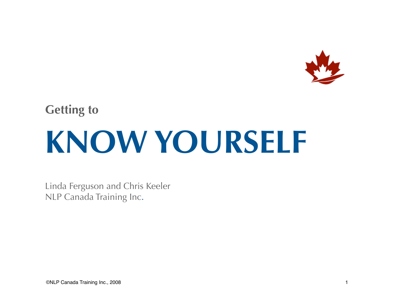

### **Getting to KNOW YOURSELF**

Linda Ferguson and Chris Keeler NLP Canada Training Inc.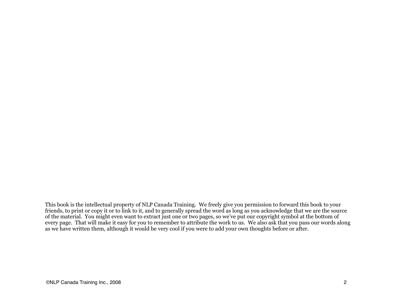This book is the intellectual property of NLP Canada Training. We freely give you permission to forward this book to your friends, to print or copy it or to link to it, and to generally spread the word as long as you acknowledge that we are the source of the material. You might even want to extract just one or two pages, so we've put our copyright symbol at the bottom of every page. That will make it easy for you to remember to attribute the work to us. We also ask that you pass our words along as we have written them, although it would be very cool if you were to add your own thoughts before or after.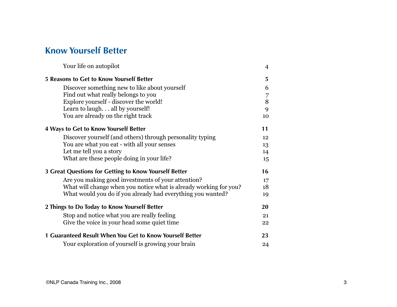### **Know Yourself Better**

| Your life on autopilot                                            | $\overline{4}$ |
|-------------------------------------------------------------------|----------------|
| 5 Reasons to Get to Know Yourself Better                          | 5              |
| Discover something new to like about yourself                     | 6              |
| Find out what really belongs to you                               | 7              |
| Explore yourself - discover the world!                            | 8              |
| Learn to laugh. all by yourself!                                  | 9              |
| You are already on the right track                                | 10             |
| 4 Ways to Get to Know Yourself Better                             | 11             |
| Discover yourself (and others) through personality typing         | 12             |
| You are what you eat - with all your senses                       | 13             |
| Let me tell you a story                                           | 14             |
| What are these people doing in your life?                         | 15             |
| 3 Great Questions for Getting to Know Yourself Better             | 16             |
| Are you making good investments of your attention?                | 17             |
| What will change when you notice what is already working for you? | 18             |
| What would you do if you already had everything you wanted?       | 19             |
| 2 Things to Do Today to Know Yourself Better                      | 20             |
| Stop and notice what you are really feeling                       | 21             |
| Give the voice in your head some quiet time                       | 22             |
| 1 Guaranteed Result When You Get to Know Yourself Better          | 23             |
| Your exploration of yourself is growing your brain                | 24             |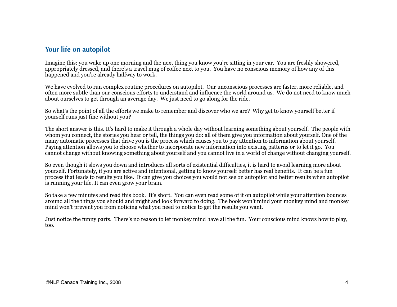### <span id="page-3-0"></span>**Your life on autopilot**

Imagine this: you wake up one morning and the next thing you know you're sitting in your car. You are freshly showered, appropriately dressed, and there's a travel mug of coffee next to you. You have no conscious memory of how any of this happened and you're already halfway to work.

We have evolved to run complex routine procedures on autopilot. Our unconscious processes are faster, more reliable, and often more subtle than our conscious efforts to understand and influence the world around us. We do not need to know much about ourselves to get through an average day. We just need to go along for the ride.

So what's the point of all the efforts we make to remember and discover who we are? Why get to know yourself better if yourself runs just fine without you?

The short answer is this. It's hard to make it through a whole day without learning something about yourself. The people with whom you connect, the stories you hear or tell, the things you do: all of them give you information about yourself. One of the many automatic processes that drive you is the process which causes you to pay attention to information about yourself. Paying attention allows you to choose whether to incorporate new information into existing patterns or to let it go. You cannot change without knowing something about yourself and you cannot live in a world of change without changing yourself.

So even though it slows you down and introduces all sorts of existential difficulties, it is hard to avoid learning more about yourself. Fortunately, if you are active and intentional, getting to know yourself better has real benefits. It can be a fun process that leads to results you like. It can give you choices you would not see on autopilot and better results when autopilot is running your life. It can even grow your brain.

So take a few minutes and read this book. It's short. You can even read some of it on autopilot while your attention bounces around all the things you should and might and look forward to doing. The book won't mind your monkey mind and monkey mind won't prevent you from noticing what you need to notice to get the results you want.

Just notice the funny parts. There's no reason to let monkey mind have all the fun. Your conscious mind knows how to play, too.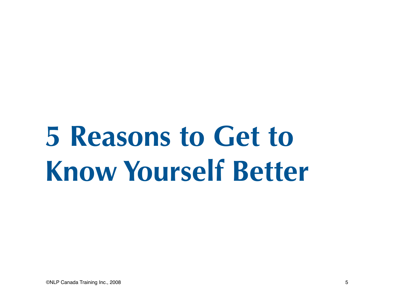## <span id="page-4-0"></span>**5 Reasons to Get to Know Yourself Better**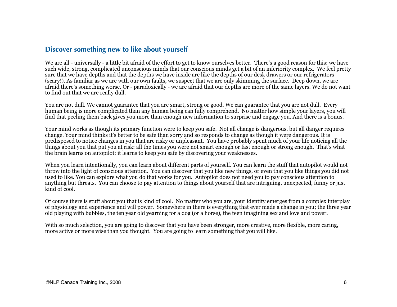### <span id="page-5-0"></span>**Discover something new to like about yourself**

We are all - universally - a little bit afraid of the effort to get to know ourselves better. There's a good reason for this: we have such wide, strong, complicated unconscious minds that our conscious minds get a bit of an inferiority complex. We feel pretty sure that we have depths and that the depths we have inside are like the depths of our desk drawers or our refrigerators (scary!). As familiar as we are with our own faults, we suspect that we are only skimming the surface. Deep down, we are afraid there's something worse. Or - paradoxically - we are afraid that our depths are more of the same layers. We do not want to find out that we are really dull.

You are not dull. We cannot guarantee that you are smart, strong or good. We can guarantee that you are not dull. Every human being is more complicated than any human being can fully comprehend. No matter how simple your layers, you will find that peeling them back gives you more than enough new information to surprise and engage you. And there is a bonus.

Your mind works as though its primary function were to keep you safe. Not all change is dangerous, but all danger requires change. Your mind thinks it's better to be safe than sorry and so responds to change as though it were dangerous. It is predisposed to notice changes in you that are risky or unpleasant. You have probably spent much of your life noticing all the things about you that put you at risk: all the times you were not smart enough or fast enough or strong enough. That's what the brain learns on autopilot: it learns to keep you safe by discovering your weaknesses.

When you learn intentionally, you can learn about different parts of yourself. You can learn the stuff that autopilot would not throw into the light of conscious attention. You can discover that you like new things, or even that you like things you did not used to like. You can explore what you do that works for you. Autopilot does not need you to pay conscious attention to anything but threats. You can choose to pay attention to things about yourself that are intriguing, unexpected, funny or just kind of cool.

Of course there is stuff about you that is kind of cool. No matter who you are, your identity emerges from a complex interplay of physiology and experience and will power. Somewhere in there is everything that ever made a change in you; the three year old playing with bubbles, the ten year old yearning for a dog (or a horse), the teen imagining sex and love and power.

With so much selection, you are going to discover that you have been stronger, more creative, more flexible, more caring, more active or more wise than you thought. You are going to learn something that you will like.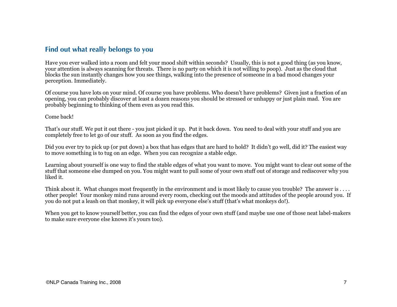### <span id="page-6-0"></span>**Find out what really belongs to you**

Have you ever walked into a room and felt your mood shift within seconds? Usually, this is not a good thing (as you know, your attention is always scanning for threats. There is no party on which it is not willing to poop). Just as the cloud that blocks the sun instantly changes how you see things, walking into the presence of someone in a bad mood changes your perception. Immediately.

Of course you have lots on your mind. Of course you have problems. Who doesn't have problems? Given just a fraction of an opening, you can probably discover at least a dozen reasons you should be stressed or unhappy or just plain mad. You are probably beginning to thinking of them even as you read this.

#### Come back!

That's our stuff. We put it out there - you just picked it up. Put it back down. You need to deal with your stuff and you are completely free to let go of our stuff. As soon as you find the edges.

Did you ever try to pick up (or put down) a box that has edges that are hard to hold? It didn't go well, did it? The easiest way to move something is to tug on an edge. When you can recognize a stable edge.

Learning about yourself is one way to find the stable edges of what you want to move. You might want to clear out some of the stuff that someone else dumped on you. You might want to pull some of your own stuff out of storage and rediscover why you liked it.

Think about it. What changes most frequently in the environment and is most likely to cause you trouble? The answer is .... other people! Your monkey mind runs around every room, checking out the moods and attitudes of the people around you. If you do not put a leash on that monkey, it will pick up everyone else's stuff (that's what monkeys do!).

When you get to know yourself better, you can find the edges of your own stuff (and maybe use one of those neat label-makers to make sure everyone else knows it's yours too).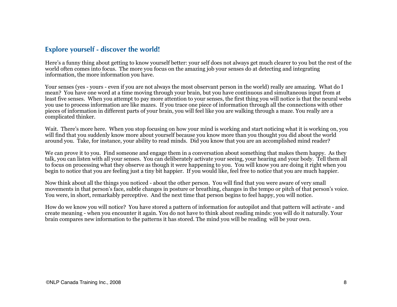### <span id="page-7-0"></span>**Explore yourself - discover the world!**

Here's a funny thing about getting to know yourself better: your self does not always get much clearer to you but the rest of the world often comes into focus. The more you focus on the amazing job your senses do at detecting and integrating information, the more information you have.

Your senses (yes - yours - even if you are not always the most observant person in the world) really are amazing. What do I mean? You have one word at a time moving through your brain, but you have continuous and simultaneous input from at least five senses. When you attempt to pay more attention to your senses, the first thing you will notice is that the neural webs you use to process information are like mazes. If you trace one piece of information through all the connections with other pieces of information in different parts of your brain, you will feel like you are walking through a maze. You really are a complicated thinker.

Wait. There's more here. When you stop focusing on how your mind is working and start noticing what it is working on, you will find that you suddenly know more about yourself because you know more than you thought you did about the world around you. Take, for instance, your ability to read minds. Did you know that you are an accomplished mind reader?

We can prove it to you. Find someone and engage them in a conversation about something that makes them happy. As they talk, you can listen with all your senses. You can deliberately activate your seeing, your hearing and your body. Tell them all to focus on processing what they observe as though it were happening to you. You will know you are doing it right when you begin to notice that you are feeling just a tiny bit happier. If you would like, feel free to notice that you are much happier.

Now think about all the things you noticed - about the other person. You will find that you were aware of very small movements in that person's face, subtle changes in posture or breathing, changes in the tempo or pitch of that person's voice. You were, in short, remarkably perceptive. And the next time that person begins to feel happy, you will notice.

How do we know you will notice? You have stored a pattern of information for autopilot and that pattern will activate - and create meaning - when you encounter it again. You do not have to think about reading minds: you will do it naturally. Your brain compares new information to the patterns it has stored. The mind you will be reading will be your own.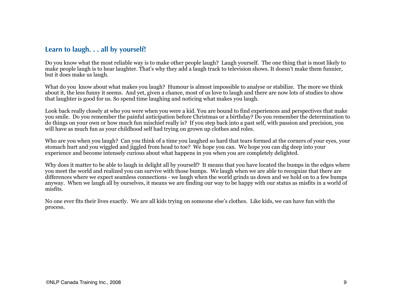### <span id="page-8-0"></span>**Learn to laugh. . . all by yourself!**

Do you know what the most reliable way is to make other people laugh? Laugh yourself. The one thing that is most likely to make people laugh is to hear laughter. That's why they add a laugh track to television shows. It doesn't make them funnier, but it does make us laugh.

What do you know about what makes you laugh? Humour is almost impossible to analyse or stabilize. The more we think about it, the less funny it seems. And yet, given a chance, most of us love to laugh and there are now lots of studies to show that laughter is good for us. So spend time laughing and noticing what makes you laugh.

Look back really closely at who you were when you were a kid. You are bound to find experiences and perspectives that make you smile. Do you remember the painful anticipation before Christmas or a birthday? Do you remember the determination to do things on your own or how much fun mischief really is? If you step back into a past self, with passion and precision, you will have as much fun as your childhood self had trying on grown up clothes and roles.

Who are you when you laugh? Can you think of a time you laughed so hard that tears formed at the corners of your eyes, your stomach hurt and you wiggled and jiggled from head to toe? We hope you can. We hope you can dig deep into your experience and become intensely curious about what happens in you when you are completely delighted.

Why does it matter to be able to laugh in delight all by yourself? It means that you have located the bumps in the edges where you meet the world and realized you can survive with those bumps. We laugh when we are able to recognize that there are differences where we expect seamless connections - we laugh when the world grinds us down and we hold on to a few bumps anyway. When we laugh all by ourselves, it means we are finding our way to be happy with our status as misfits in a world of misfits.

No one ever fits their lives exactly. We are all kids trying on someone else's clothes. Like kids, we can have fun with the process.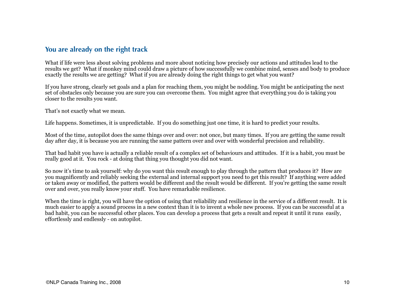### <span id="page-9-0"></span>**You are already on the right track**

What if life were less about solving problems and more about noticing how precisely our actions and attitudes lead to the results we get? What if monkey mind could draw a picture of how successfully we combine mind, senses and body to produce exactly the results we are getting? What if you are already doing the right things to get what you want?

If you have strong, clearly set goals and a plan for reaching them, you might be nodding. You might be anticipating the next set of obstacles only because you are sure you can overcome them. You might agree that everything you do is taking you closer to the results you want.

That's not exactly what we mean.

Life happens. Sometimes, it is unpredictable. If you do something just one time, it is hard to predict your results.

Most of the time, autopilot does the same things over and over: not once, but many times. If you are getting the same result day after day, it is because you are running the same pattern over and over with wonderful precision and reliability.

That bad habit you have is actually a reliable result of a complex set of behaviours and attitudes. If it is a habit, you must be really good at it. You rock - at doing that thing you thought you did not want.

So now it's time to ask yourself: why do you want this result enough to play through the pattern that produces it? How are you magnificently and reliably seeking the external and internal support you need to get this result? If anything were added or taken away or modified, the pattern would be different and the result would be different. If you're getting the same result over and over, you really know your stuff. You have remarkable resilience.

When the time is right, you will have the option of using that reliability and resilience in the service of a different result. It is much easier to apply a sound process in a new context than it is to invent a whole new process. If you can be successful at a bad habit, you can be successful other places. You can develop a process that gets a result and repeat it until it runs easily, effortlessly and endlessly - on autopilot.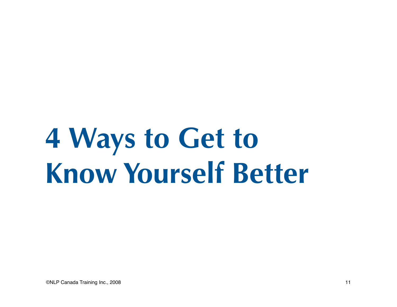### <span id="page-10-0"></span>**4 Ways to Get to Know Yourself Better**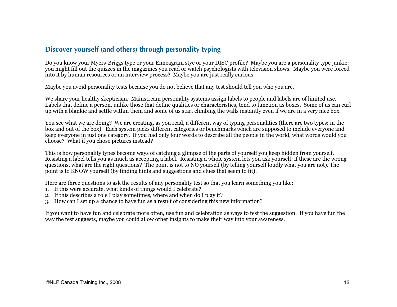### <span id="page-11-0"></span>**Discover yourself (and others) through personality typing**

Do you know your Myers-Briggs type or your Enneagram stye or your DISC profile? Maybe you are a personality type junkie: you might fill out the quizzes in the magazines you read or watch psychologists with television shows. Maybe you were forced into it by human resources or an interview process? Maybe you are just really curious.

Maybe you avoid personality tests because you do not believe that any test should tell you who you are.

We share your healthy skepticism. Mainstream personality systems assign labels to people and labels are of limited use. Labels that define a person, unlike those that define qualities or characteristics, tend to function as boxes. Some of us can curl up with a blankie and settle within them and some of us start climbing the walls instantly even if we are in a very nice box.

You see what we are doing? We are creating, as you read, a different way of typing personalities (there are two types: in the box and out of the box). Each system picks different categories or benchmarks which are supposed to include everyone and keep everyone in just one category. If you had only four words to describe all the people in the world, what words would you choose? What if you chose pictures instead?

This is how personality types become ways of catching a glimpse of the parts of yourself you keep hidden from yourself. Resisting a label tells you as much as accepting a label. Resisting a whole system lets you ask yourself: if these are the wrong questions, what are the right questions? The point is not to NO yourself (by telling yourself loudly what you are not). The point is to KNOW yourself (by finding hints and suggestions and clues that seem to fit).

Here are three questions to ask the results of any personality test so that you learn something you like:

- 1. If this were accurate, what kinds of things would I celebrate?
- 2. If this describes a role I play sometimes, where and when do I play it?
- 3. How can I set up a chance to have fun as a result of considering this new information?

If you want to have fun and celebrate more often, use fun and celebration as ways to test the suggestion. If you have fun the way the test suggests, maybe you could allow other insights to make their way into your awareness.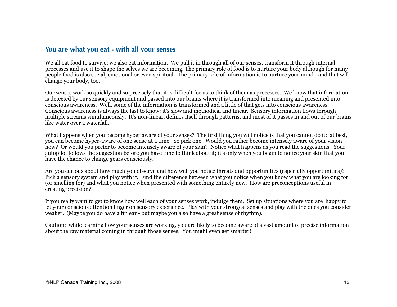### <span id="page-12-0"></span>**You are what you eat - with all your senses**

We all eat food to survive; we also eat information. We pull it in through all of our senses, transform it through internal processes and use it to shape the selves we are becoming. The primary role of food is to nurture your body although for many people food is also social, emotional or even spiritual. The primary role of information is to nurture your mind - and that will change your body, too.

Our senses work so quickly and so precisely that it is difficult for us to think of them as processes. We know that information is detected by our sensory equipment and passed into our brains where it is transformed into meaning and presented into conscious awareness. Well, some of the information is transformed and a little of that gets into conscious awareness. Conscious awareness is always the last to know: it's slow and methodical and linear. Sensory information flows through multiple streams simultaneously. It's non-linear, defines itself through patterns, and most of it passes in and out of our brains like water over a waterfall.

What happens when you become hyper aware of your senses? The first thing you will notice is that you cannot do it: at best, you can become hyper-aware of one sense at a time. So pick one. Would you rather become intensely aware of your vision now? Or would you prefer to become intensely aware of your skin? Notice what happens as you read the suggestions. Your autopilot follows the suggestion before you have time to think about it; it's only when you begin to notice your skin that you have the chance to change gears consciously.

Are you curious about how much you observe and how well you notice threats and opportunities (especially opportunities)? Pick a sensory system and play with it. Find the difference between what you notice when you know what you are looking for (or smelling for) and what you notice when presented with something entirely new. How are preconceptions useful in creating precision?

If you really want to get to know how well each of your senses work, indulge them. Set up situations where you are happy to let your conscious attention linger on sensory experience. Play with your strongest senses and play with the ones you consider weaker. (Maybe you do have a tin ear - but maybe you also have a great sense of rhythm).

Caution: while learning how your senses are working, you are likely to become aware of a vast amount of precise information about the raw material coming in through those senses. You might even get smarter!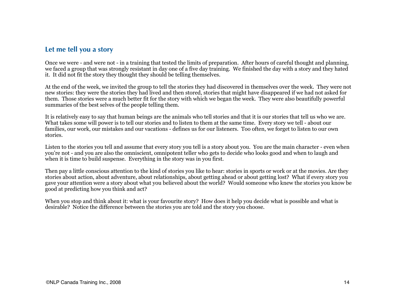### <span id="page-13-0"></span>**Let me tell you a story**

Once we were - and were not - in a training that tested the limits of preparation. After hours of careful thought and planning, we faced a group that was strongly resistant in day one of a five day training. We finished the day with a story and they hated it. It did not fit the story they thought they should be telling themselves.

At the end of the week, we invited the group to tell the stories they had discovered in themselves over the week. They were not new stories: they were the stories they had lived and then stored, stories that might have disappeared if we had not asked for them. Those stories were a much better fit for the story with which we began the week. They were also beautifully powerful summaries of the best selves of the people telling them.

It is relatively easy to say that human beings are the animals who tell stories and that it is our stories that tell us who we are. What takes some will power is to tell our stories and to listen to them at the same time. Every story we tell - about our families, our work, our mistakes and our vacations - defines us for our listeners. Too often, we forget to listen to our own stories.

Listen to the stories you tell and assume that every story you tell is a story about you. You are the main character - even when you're not - and you are also the omniscient, omnipotent teller who gets to decide who looks good and when to laugh and when it is time to build suspense. Everything in the story was in you first.

Then pay a little conscious attention to the kind of stories you like to hear: stories in sports or work or at the movies. Are they stories about action, about adventure, about relationships, about getting ahead or about getting lost? What if every story you gave your attention were a story about what you believed about the world? Would someone who knew the stories you know be good at predicting how you think and act?

When you stop and think about it: what is your favourite story? How does it help you decide what is possible and what is desirable? Notice the difference between the stories you are told and the story you choose.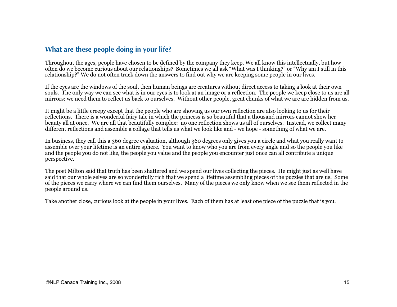### <span id="page-14-0"></span>**What are these people doing in your life?**

Throughout the ages, people have chosen to be defined by the company they keep. We all know this intellectually, but how often do we become curious about our relationships? Sometimes we all ask "What was I thinking?" or "Why am I still in this relationship?" We do not often track down the answers to find out why we are keeping some people in our lives.

If the eyes are the windows of the soul, then human beings are creatures without direct access to taking a look at their own souls. The only way we can see what is in our eyes is to look at an image or a reflection. The people we keep close to us are all mirrors: we need them to reflect us back to ourselves. Without other people, great chunks of what we are are hidden from us.

It might be a little creepy except that the people who are showing us our own reflection are also looking to us for their reflections. There is a wonderful fairy tale in which the princess is so beautiful that a thousand mirrors cannot show her beauty all at once. We are all that beautifully complex: no one reflection shows us all of ourselves. Instead, we collect many different reflections and assemble a collage that tells us what we look like and - we hope - something of what we are.

In business, they call this a 360 degree evaluation, although 360 degrees only gives you a circle and what you really want to assemble over your lifetime is an entire sphere. You want to know who you are from every angle and so the people you like and the people you do not like, the people you value and the people you encounter just once can all contribute a unique perspective.

The poet Milton said that truth has been shattered and we spend our lives collecting the pieces. He might just as well have said that our whole selves are so wonderfully rich that we spend a lifetime assembling pieces of the puzzles that are us. Some of the pieces we carry where we can find them ourselves. Many of the pieces we only know when we see them reflected in the people around us.

Take another close, curious look at the people in your lives. Each of them has at least one piece of the puzzle that is you.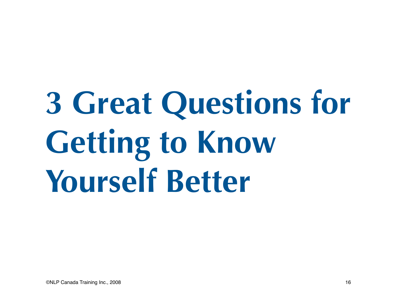# <span id="page-15-0"></span>**3 Great Questions for Getting to Know Yourself Better**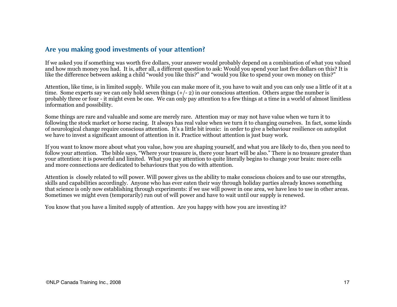### <span id="page-16-0"></span>**Are you making good investments of your attention?**

If we asked you if something was worth five dollars, your answer would probably depend on a combination of what you valued and how much money you had. It is, after all, a different question to ask: Would you spend your last five dollars on this? It is like the difference between asking a child "would you like this?" and "would you like to spend your own money on this?"

Attention, like time, is in limited supply. While you can make more of it, you have to wait and you can only use a little of it at a time. Some experts say we can only hold seven things  $(+/- 2)$  in our conscious attention. Others argue the number is probably three or four - it might even be one. We can only pay attention to a few things at a time in a world of almost limitless information and possibility.

Some things are rare and valuable and some are merely rare. Attention may or may not have value when we turn it to following the stock market or horse racing. It always has real value when we turn it to changing ourselves. In fact, some kinds of neurological change require conscious attention. It's a little bit ironic: in order to give a behaviour resilience on autopilot we have to invest a significant amount of attention in it. Practice without attention is just busy work.

If you want to know more about what you value, how you are shaping yourself, and what you are likely to do, then you need to follow your attention. The bible says, "Where your treasure is, there your heart will be also." There is no treasure greater than your attention: it is powerful and limited. What you pay attention to quite literally begins to change your brain: more cells and more connections are dedicated to behaviours that you do with attention.

Attention is closely related to will power. Will power gives us the ability to make conscious choices and to use our strengths, skills and capabilities accordingly. Anyone who has ever eaten their way through holiday parties already knows something that science is only now establishing through experiments: if we use will power in one area, we have less to use in other areas. Sometimes we might even (temporarily) run out of will power and have to wait until our supply is renewed.

You know that you have a limited supply of attention. Are you happy with how you are investing it?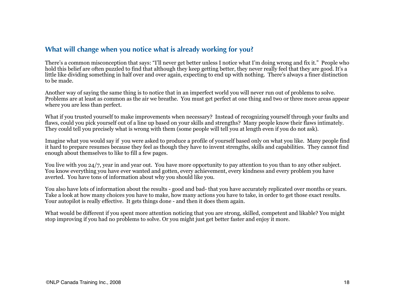### <span id="page-17-0"></span>**What will change when you notice what is already working for you?**

There's a common misconception that says: "I'll never get better unless I notice what I'm doing wrong and fix it." People who hold this belief are often puzzled to find that although they keep getting better, they never really feel that they are good. It's a little like dividing something in half over and over again, expecting to end up with nothing. There's always a finer distinction to be made.

Another way of saying the same thing is to notice that in an imperfect world you will never run out of problems to solve. Problems are at least as common as the air we breathe. You must get perfect at one thing and two or three more areas appear where you are less than perfect.

What if you trusted yourself to make improvements when necessary? Instead of recognizing yourself through your faults and flaws, could you pick yourself out of a line up based on your skills and strengths? Many people know their flaws intimately. They could tell you precisely what is wrong with them (some people will tell you at length even if you do not ask).

Imagine what you would say if you were asked to produce a profile of yourself based only on what you like. Many people find it hard to prepare resumes because they feel as though they have to invent strengths, skills and capabilities. They cannot find enough about themselves to like to fill a few pages.

You live with you 24/7, year in and year out. You have more opportunity to pay attention to you than to any other subject. You know everything you have ever wanted and gotten, every achievement, every kindness and every problem you have averted. You have tons of information about why you should like you.

You also have lots of information about the results - good and bad- that you have accurately replicated over months or years. Take a look at how many choices you have to make, how many actions you have to take, in order to get those exact results. Your autopilot is really effective. It gets things done - and then it does them again.

What would be different if you spent more attention noticing that you are strong, skilled, competent and likable? You might stop improving if you had no problems to solve. Or you might just get better faster and enjoy it more.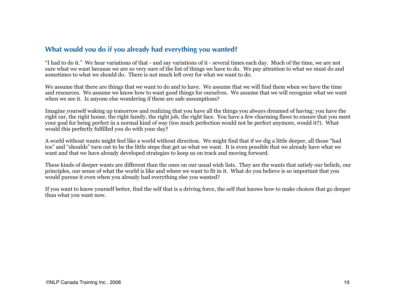### <span id="page-18-0"></span>**What would you do if you already had everything you wanted?**

"I had to do it." We hear variations of that - and say variations of it - several times each day. Much of the time, we are not sure what we want because we are so very sure of the list of things we have to do. We pay attention to what we must do and sometimes to what we should do. There is not much left over for what we want to do.

We assume that there are things that we want to do and to have. We assume that we will find them when we have the time and resources. We assume we know how to want good things for ourselves. We assume that we will recognize what we want when we see it. Is anyone else wondering if these are safe assumptions?

Imagine yourself waking up tomorrow and realizing that you have all the things you always dreamed of having: you have the right car, the right house, the right family, the right job, the right face. You have a few charming flaws to ensure that you meet your goal for being perfect in a normal kind of way (too much perfection would not be perfect anymore, would it?). What would this perfectly fulfilled you do with your day?

A world without wants might feel like a world without direction. We might find that if we dig a little deeper, all those "had tos" and "shoulds" turn out to be the little steps that get us what we want. It is even possible that we already have what we want and that we have already developed strategies to keep us on track and moving forward.

These kinds of deeper wants are different than the ones on our usual wish lists. They are the wants that satisfy our beliefs, our principles, our sense of what the world is like and where we want to fit in it. What do you believe is so important that you would pursue it even when you already had everything else you wanted?

If you want to know yourself better, find the self that is a driving force, the self that knows how to make choices that go deeper than what you want now.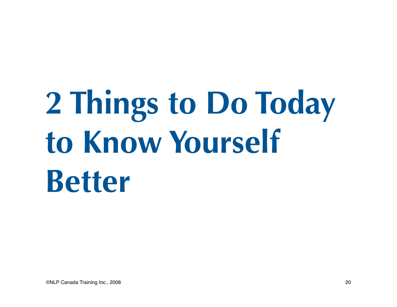## <span id="page-19-0"></span>**2 Things to Do Today to Know Yourself Better**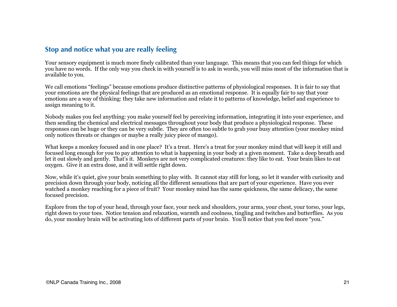### <span id="page-20-0"></span>**Stop and notice what you are really feeling**

Your sensory equipment is much more finely calibrated than your language. This means that you can feel things for which you have no words. If the only way you check in with yourself is to ask in words, you will miss most of the information that is available to you.

We call emotions "feelings" because emotions produce distinctive patterns of physiological responses. It is fair to say that your emotions are the physical feelings that are produced as an emotional response. It is equally fair to say that your emotions are a way of thinking: they take new information and relate it to patterns of knowledge, belief and experience to assign meaning to it.

Nobody makes you feel anything: you make yourself feel by perceiving information, integrating it into your experience, and then sending the chemical and electrical messages throughout your body that produce a physiological response. These responses can be huge or they can be very subtle. They are often too subtle to grab your busy attention (your monkey mind only notices threats or changes or maybe a really juicy piece of mango).

What keeps a monkey focused and in one place? It's a treat. Here's a treat for your monkey mind that will keep it still and focused long enough for you to pay attention to what is happening in your body at a given moment. Take a deep breath and let it out slowly and gently. That's it. Monkeys are not very complicated creatures: they like to eat. Your brain likes to eat oxygen. Give it an extra dose, and it will settle right down.

Now, while it's quiet, give your brain something to play with. It cannot stay still for long, so let it wander with curiosity and precision down through your body, noticing all the different sensations that are part of your experience. Have you ever watched a monkey reaching for a piece of fruit? Your monkey mind has the same quickness, the same delicacy, the same focused precision.

Explore from the top of your head, through your face, your neck and shoulders, your arms, your chest, your torso, your legs, right down to your toes. Notice tension and relaxation, warmth and coolness, tingling and twitches and butterflies. As you do, your monkey brain will be activating lots of different parts of your brain. You'll notice that you feel more "you."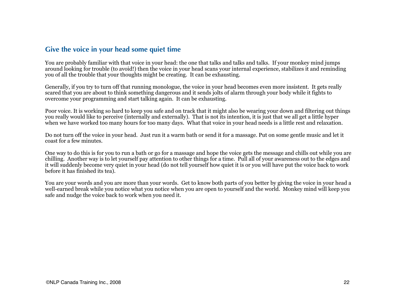### <span id="page-21-0"></span>**Give the voice in your head some quiet time**

You are probably familiar with that voice in your head: the one that talks and talks and talks. If your monkey mind jumps around looking for trouble (to avoid!) then the voice in your head scans your internal experience, stabilizes it and reminding you of all the trouble that your thoughts might be creating. It can be exhausting.

Generally, if you try to turn off that running monologue, the voice in your head becomes even more insistent. It gets really scared that you are about to think something dangerous and it sends jolts of alarm through your body while it fights to overcome your programming and start talking again. It can be exhausting.

Poor voice. It is working so hard to keep you safe and on track that it might also be wearing your down and filtering out things you really would like to perceive (internally and externally). That is not its intention, it is just that we all get a little hyper when we have worked too many hours for too many days. What that voice in your head needs is a little rest and relaxation.

Do not turn off the voice in your head. Just run it a warm bath or send it for a massage. Put on some gentle music and let it coast for a few minutes.

One way to do this is for you to run a bath or go for a massage and hope the voice gets the message and chills out while you are chilling. Another way is to let yourself pay attention to other things for a time. Pull all of your awareness out to the edges and it will suddenly become very quiet in your head (do not tell yourself how quiet it is or you will have put the voice back to work before it has finished its tea).

You are your words and you are more than your words. Get to know both parts of you better by giving the voice in your head a well-earned break while you notice what you notice when you are open to yourself and the world. Monkey mind will keep you safe and nudge the voice back to work when you need it.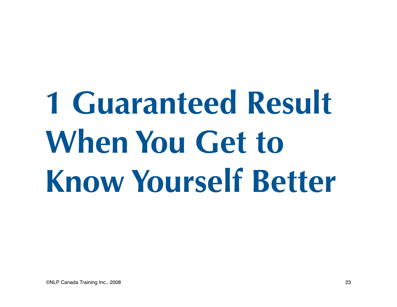# <span id="page-22-0"></span>**1 Guaranteed Result When You Get to Know Yourself Better**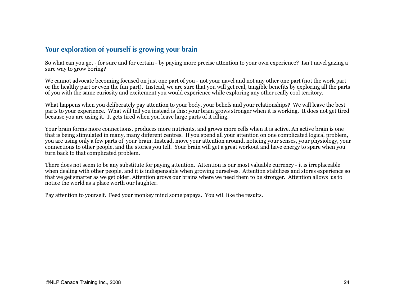### <span id="page-23-0"></span>**Your exploration of yourself is growing your brain**

So what can you get - for sure and for certain - by paying more precise attention to your own experience? Isn't navel gazing a sure way to grow boring?

We cannot advocate becoming focused on just one part of you - not your navel and not any other one part (not the work part or the healthy part or even the fun part). Instead, we are sure that you will get real, tangible benefits by exploring all the parts of you with the same curiosity and excitement you would experience while exploring any other really cool territory.

What happens when you deliberately pay attention to your body, your beliefs and your relationships? We will leave the best parts to your experience. What will tell you instead is this: your brain grows stronger when it is working. It does not get tired because you are using it. It gets tired when you leave large parts of it idling.

Your brain forms more connections, produces more nutrients, and grows more cells when it is active. An active brain is one that is being stimulated in many, many different centres. If you spend all your attention on one complicated logical problem, you are using only a few parts of your brain. Instead, move your attention around, noticing your senses, your physiology, your connections to other people, and the stories you tell. Your brain will get a great workout and have energy to spare when you turn back to that complicated problem.

There does not seem to be any substitute for paying attention. Attention is our most valuable currency - it is irreplaceable when dealing with other people, and it is indispensable when growing ourselves. Attention stabilizes and stores experience so that we get smarter as we get older. Attention grows our brains where we need them to be stronger. Attention allows us to notice the world as a place worth our laughter.

Pay attention to yourself. Feed your monkey mind some papaya. You will like the results.